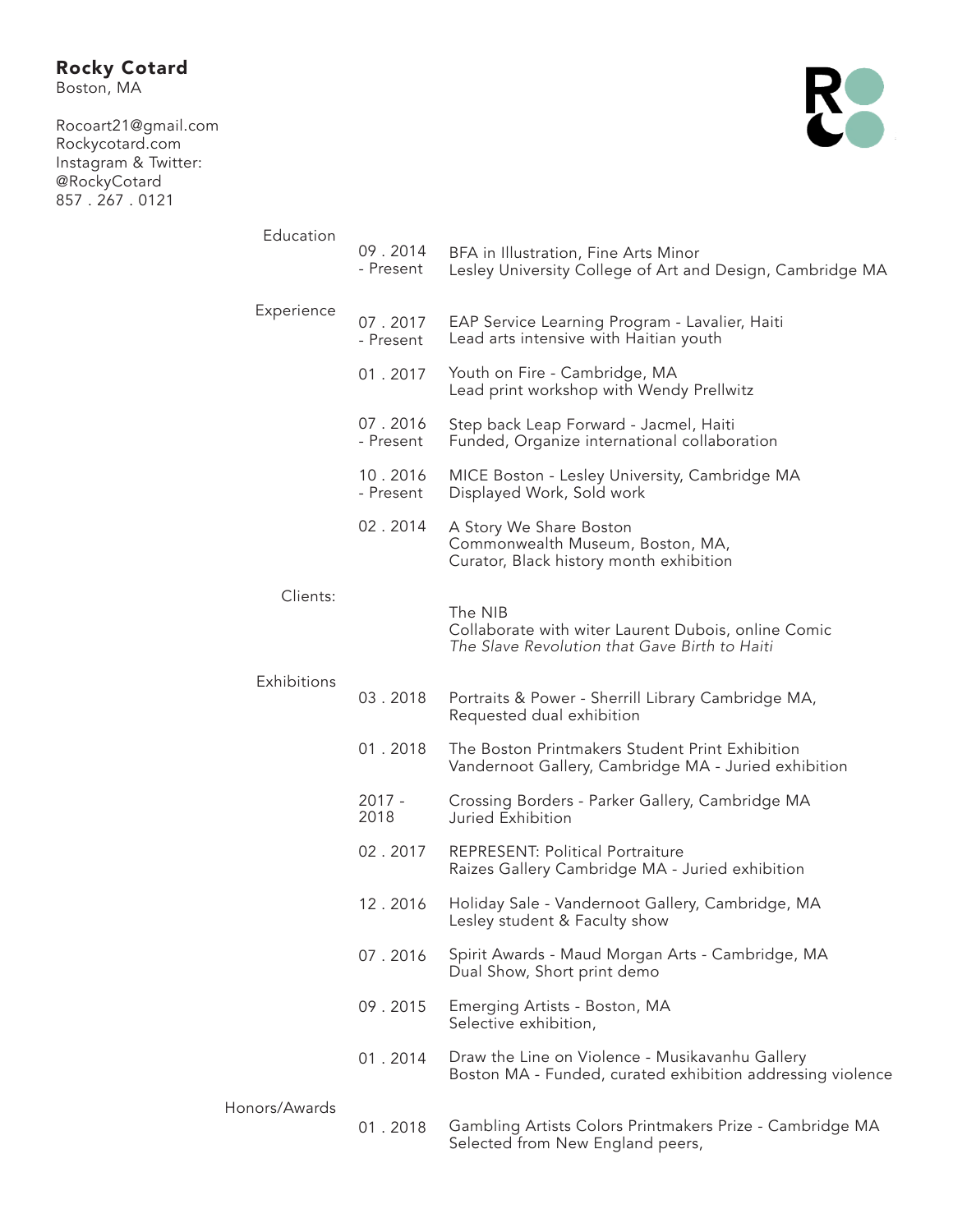Boston, MA

Rocoart21@gmail.com Rockycotard.com Instagram & Twitter: @RockyCotard 857 . 267 . 0121



| Education     | 09.2014<br>- Present | BFA in Illustration, Fine Arts Minor<br>Lesley University College of Art and Design, Cambridge MA               |
|---------------|----------------------|-----------------------------------------------------------------------------------------------------------------|
| Experience    | 07.2017<br>- Present | EAP Service Learning Program - Lavalier, Haiti<br>Lead arts intensive with Haitian youth                        |
|               | 01.2017              | Youth on Fire - Cambridge, MA<br>Lead print workshop with Wendy Prellwitz                                       |
|               | 07.2016<br>- Present | Step back Leap Forward - Jacmel, Haiti<br>Funded, Organize international collaboration                          |
|               | 10.2016<br>- Present | MICE Boston - Lesley University, Cambridge MA<br>Displayed Work, Sold work                                      |
|               | 02.2014              | A Story We Share Boston<br>Commonwealth Museum, Boston, MA,<br>Curator, Black history month exhibition          |
| Clients:      |                      | The NIB<br>Collaborate with witer Laurent Dubois, online Comic<br>The Slave Revolution that Gave Birth to Haiti |
| Exhibitions   | 03.2018              | Portraits & Power - Sherrill Library Cambridge MA,<br>Requested dual exhibition                                 |
|               | 01.2018              | The Boston Printmakers Student Print Exhibition<br>Vandernoot Gallery, Cambridge MA - Juried exhibition         |
|               | 2017 -<br>2018       | Crossing Borders - Parker Gallery, Cambridge MA<br>Juried Exhibition                                            |
|               | 02.2017              | REPRESENT: Political Portraiture<br>Raizes Gallery Cambridge MA - Juried exhibition                             |
|               | 12.2016              | Holiday Sale - Vandernoot Gallery, Cambridge, MA<br>Lesley student & Faculty show                               |
|               | 07.2016              | Spirit Awards - Maud Morgan Arts - Cambridge, MA<br>Dual Show, Short print demo                                 |
|               | 09.2015              | Emerging Artists - Boston, MA<br>Selective exhibition,                                                          |
|               | 01.2014              | Draw the Line on Violence - Musikavanhu Gallery<br>Boston MA - Funded, curated exhibition addressing violence   |
| Honors/Awards | 01.2018              | Gambling Artists Colors Printmakers Prize - Cambridge MA<br>Selected from New England peers,                    |